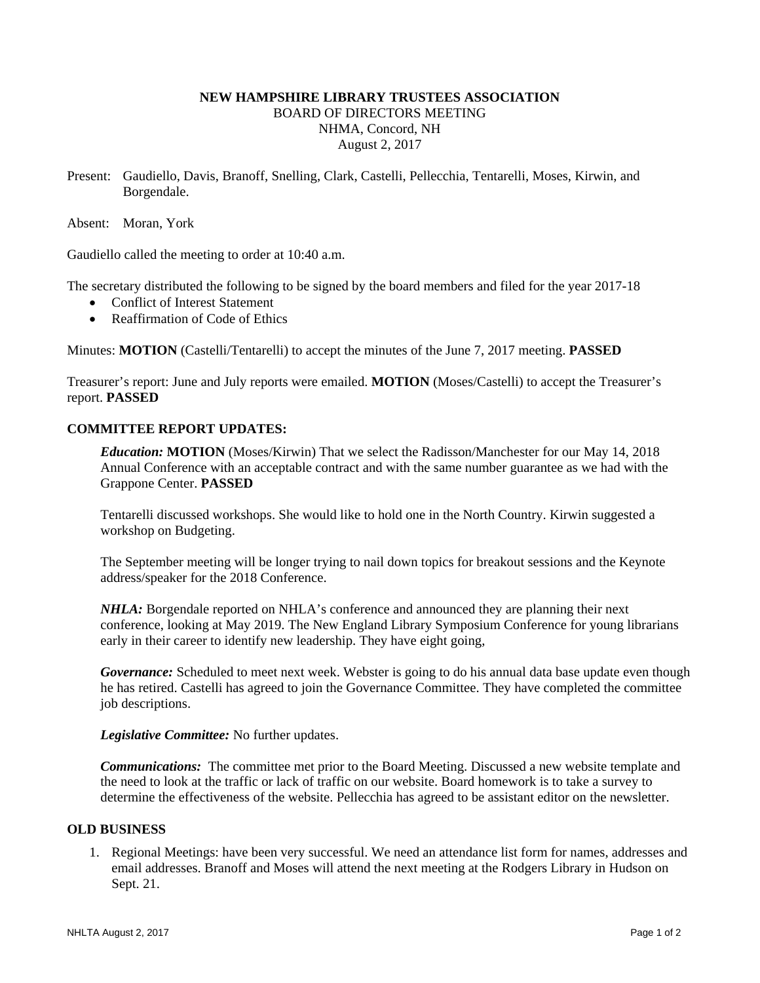# **NEW HAMPSHIRE LIBRARY TRUSTEES ASSOCIATION**  BOARD OF DIRECTORS MEETING NHMA, Concord, NH August 2, 2017

Present: Gaudiello, Davis, Branoff, Snelling, Clark, Castelli, Pellecchia, Tentarelli, Moses, Kirwin, and Borgendale.

Absent: Moran, York

Gaudiello called the meeting to order at 10:40 a.m.

The secretary distributed the following to be signed by the board members and filed for the year 2017-18

- Conflict of Interest Statement
- Reaffirmation of Code of Ethics

Minutes: **MOTION** (Castelli/Tentarelli) to accept the minutes of the June 7, 2017 meeting. **PASSED**

Treasurer's report: June and July reports were emailed. **MOTION** (Moses/Castelli) to accept the Treasurer's report. **PASSED**

### **COMMITTEE REPORT UPDATES:**

*Education:* **MOTION** (Moses/Kirwin) That we select the Radisson/Manchester for our May 14, 2018 Annual Conference with an acceptable contract and with the same number guarantee as we had with the Grappone Center. **PASSED**

Tentarelli discussed workshops. She would like to hold one in the North Country. Kirwin suggested a workshop on Budgeting.

The September meeting will be longer trying to nail down topics for breakout sessions and the Keynote address/speaker for the 2018 Conference.

*NHLA:* Borgendale reported on NHLA's conference and announced they are planning their next conference, looking at May 2019. The New England Library Symposium Conference for young librarians early in their career to identify new leadership. They have eight going,

*Governance:* Scheduled to meet next week. Webster is going to do his annual data base update even though he has retired. Castelli has agreed to join the Governance Committee. They have completed the committee job descriptions.

*Legislative Committee:* No further updates.

*Communications:* The committee met prior to the Board Meeting. Discussed a new website template and the need to look at the traffic or lack of traffic on our website. Board homework is to take a survey to determine the effectiveness of the website. Pellecchia has agreed to be assistant editor on the newsletter.

### **OLD BUSINESS**

1. Regional Meetings: have been very successful. We need an attendance list form for names, addresses and email addresses. Branoff and Moses will attend the next meeting at the Rodgers Library in Hudson on Sept. 21.